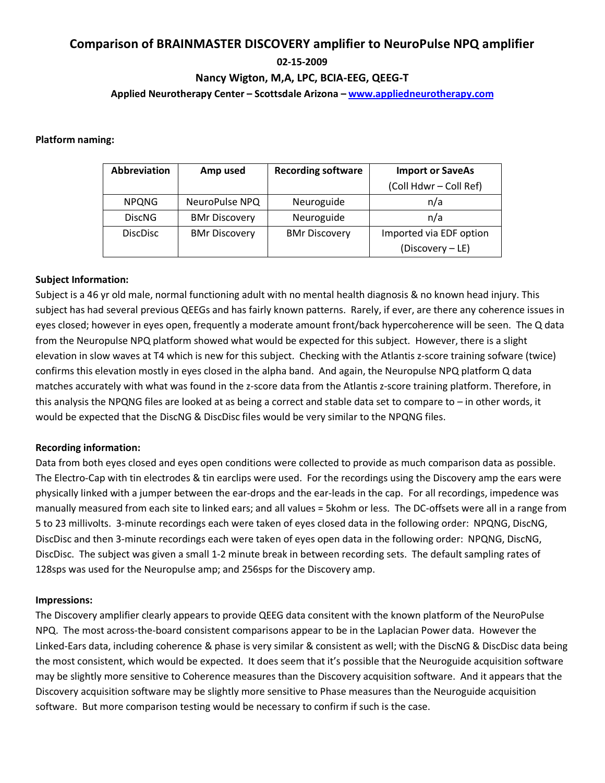# Comparison of BRAINMASTER DISCOVERY amplifier to NeuroPulse NPQ amplifier

### 02-15-2009

## Nancy Wigton, M,A, LPC, BCIA-EEG, QEEG-T

#### Applied Neurotherapy Center – Scottsdale Arizona – www.appliedneurotherapy.com

#### Platform naming:

| Abbreviation    | Amp used             | <b>Recording software</b> | <b>Import or SaveAs</b> |
|-----------------|----------------------|---------------------------|-------------------------|
|                 |                      |                           | (Coll Hdwr - Coll Ref)  |
| <b>NPQNG</b>    | NeuroPulse NPQ       | Neuroguide                | n/a                     |
| <b>DiscNG</b>   | <b>BMr Discovery</b> | Neuroguide                | n/a                     |
| <b>DiscDisc</b> | <b>BMr Discovery</b> | <b>BMr Discovery</b>      | Imported via EDF option |
|                 |                      |                           | (Discovery – LE)        |

#### Subject Information:

Subject is a 46 yr old male, normal functioning adult with no mental health diagnosis & no known head injury. This subject has had several previous QEEGs and has fairly known patterns. Rarely, if ever, are there any coherence issues in eyes closed; however in eyes open, frequently a moderate amount front/back hypercoherence will be seen. The Q data from the Neuropulse NPQ platform showed what would be expected for this subject. However, there is a slight elevation in slow waves at T4 which is new for this subject. Checking with the Atlantis z-score training sofware (twice) confirms this elevation mostly in eyes closed in the alpha band. And again, the Neuropulse NPQ platform Q data matches accurately with what was found in the z-score data from the Atlantis z-score training platform. Therefore, in this analysis the NPQNG files are looked at as being a correct and stable data set to compare to – in other words, it would be expected that the DiscNG & DiscDisc files would be very similar to the NPQNG files.

#### Recording information:

Data from both eyes closed and eyes open conditions were collected to provide as much comparison data as possible. The Electro-Cap with tin electrodes & tin earclips were used. For the recordings using the Discovery amp the ears were physically linked with a jumper between the ear-drops and the ear-leads in the cap. For all recordings, impedence was manually measured from each site to linked ears; and all values = 5kohm or less. The DC-offsets were all in a range from 5 to 23 millivolts. 3-minute recordings each were taken of eyes closed data in the following order: NPQNG, DiscNG, DiscDisc and then 3-minute recordings each were taken of eyes open data in the following order: NPQNG, DiscNG, DiscDisc. The subject was given a small 1-2 minute break in between recording sets. The default sampling rates of 128sps was used for the Neuropulse amp; and 256sps for the Discovery amp.

#### Impressions:

The Discovery amplifier clearly appears to provide QEEG data consitent with the known platform of the NeuroPulse NPQ. The most across-the-board consistent comparisons appear to be in the Laplacian Power data. However the Linked-Ears data, including coherence & phase is very similar & consistent as well; with the DiscNG & DiscDisc data being the most consistent, which would be expected. It does seem that it's possible that the Neuroguide acquisition software may be slightly more sensitive to Coherence measures than the Discovery acquisition software. And it appears that the Discovery acquisition software may be slightly more sensitive to Phase measures than the Neuroguide acquisition software. But more comparison testing would be necessary to confirm if such is the case.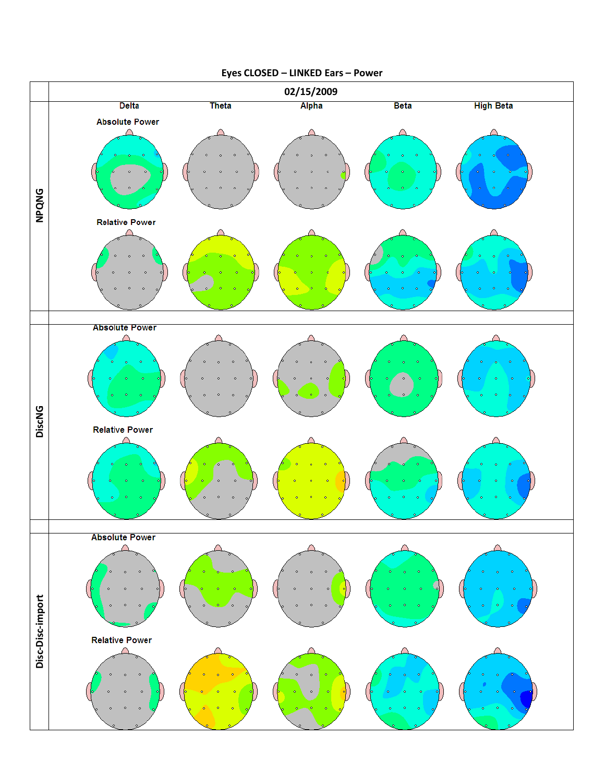

# Eyes CLOSED – LINKED Ears – Power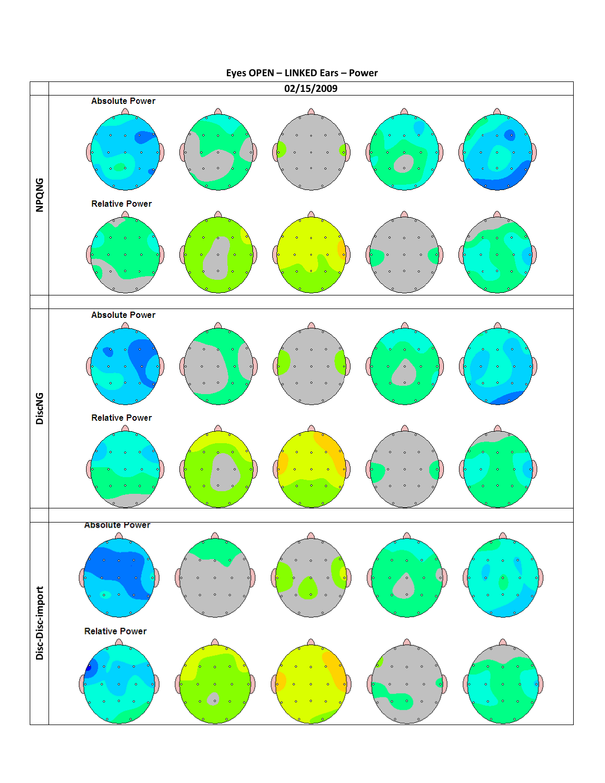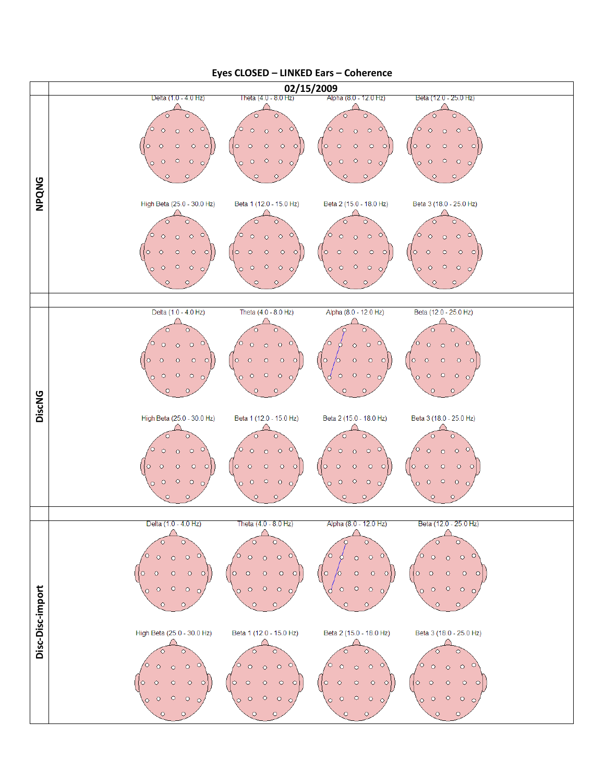

#### Eyes CLOSED – LINKED Ears – Coherence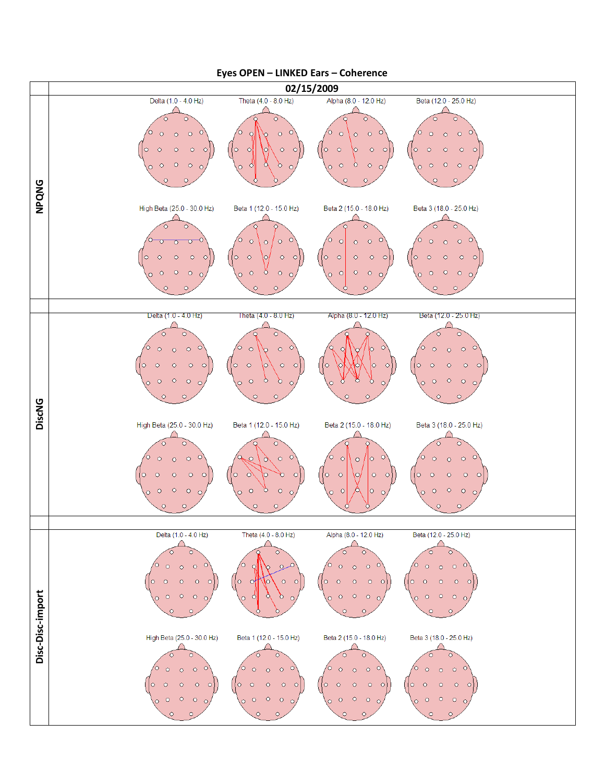

#### Eyes OPEN – LINKED Ears – Coherence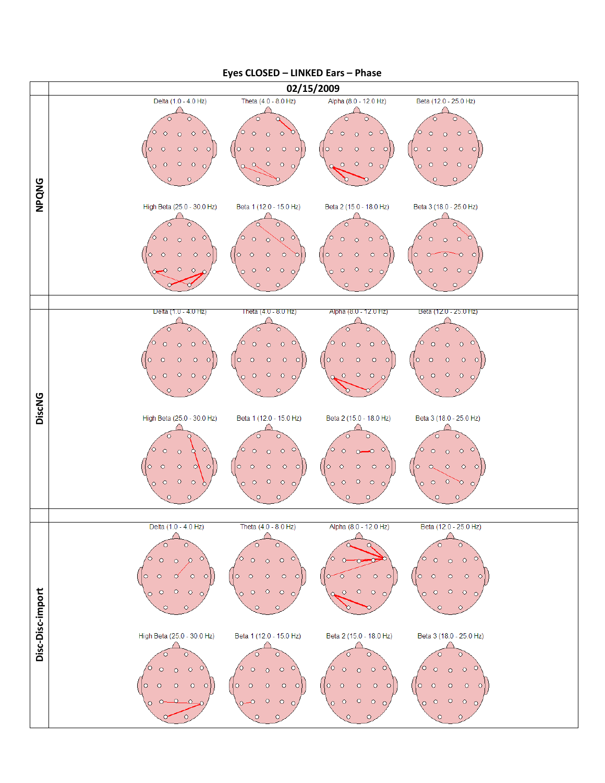

#### Eyes CLOSED – LINKED Ears – Phase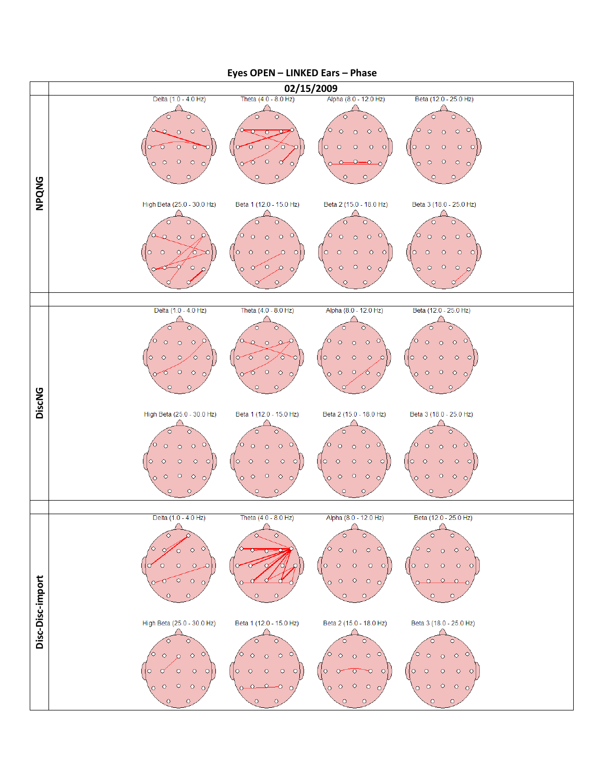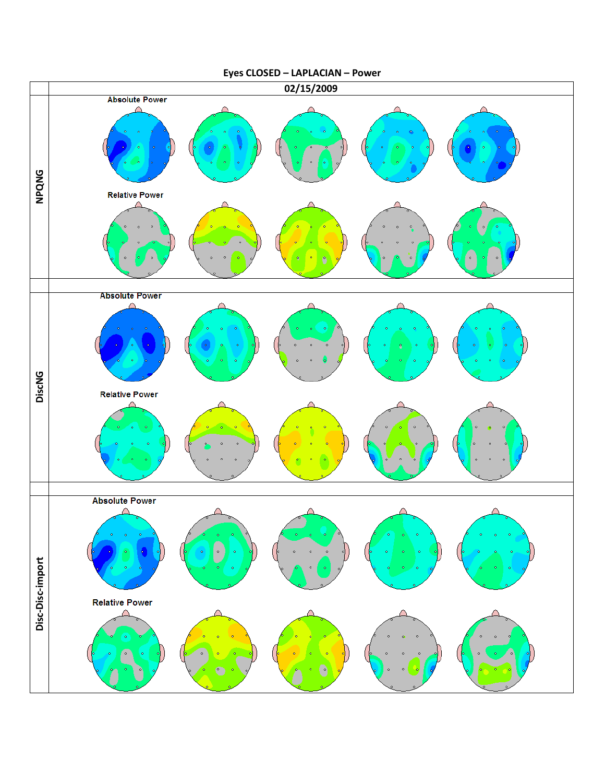

Eyes CLOSED – LAPLACIAN – Power